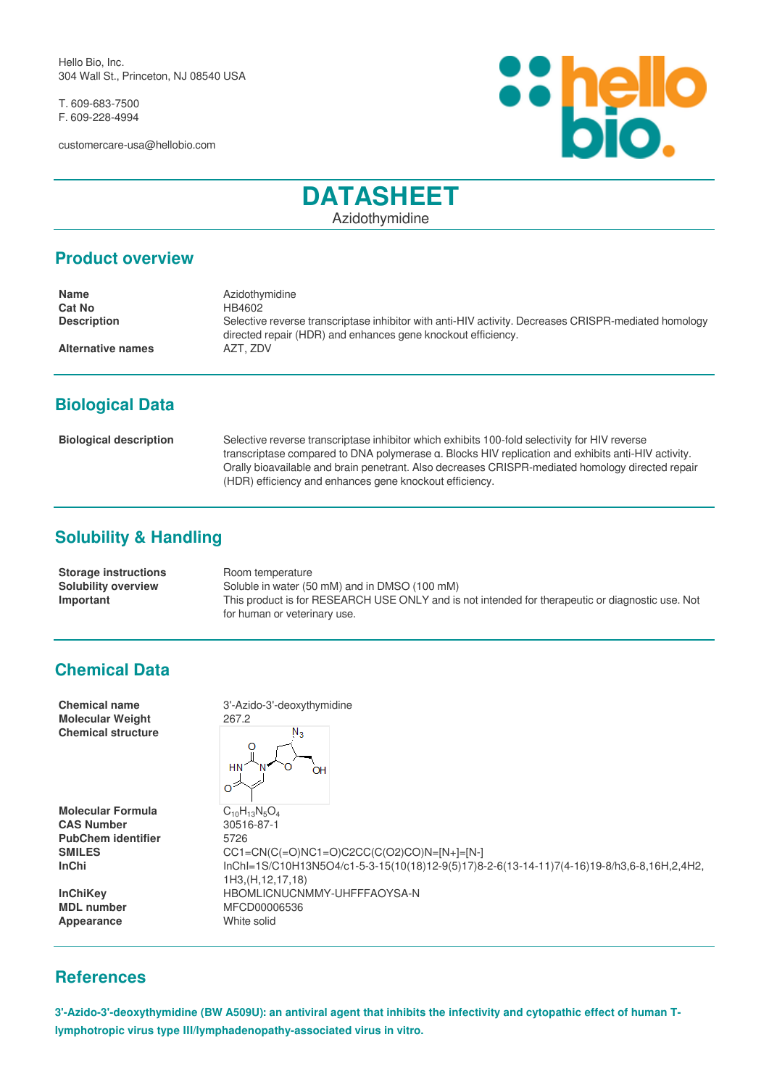Hello Bio, Inc. 304 Wall St., Princeton, NJ 08540 USA

T. 609-683-7500 F. 609-228-4994

customercare-usa@hellobio.com



# **DATASHEET**

Azidothymidine

#### **Product overview**

| <b>Name</b>              | Azidothymidine                                                                                                                                                       |
|--------------------------|----------------------------------------------------------------------------------------------------------------------------------------------------------------------|
| <b>Cat No</b>            | HB4602                                                                                                                                                               |
| <b>Description</b>       | Selective reverse transcriptase inhibitor with anti-HIV activity. Decreases CRISPR-mediated homology<br>directed repair (HDR) and enhances gene knockout efficiency. |
| <b>Alternative names</b> | AZT. ZDV                                                                                                                                                             |

## **Biological Data**

| <b>Biological description</b> | Selective reverse transcriptase inhibitor which exhibits 100-fold selectivity for HIV reverse      |
|-------------------------------|----------------------------------------------------------------------------------------------------|
|                               | transcriptase compared to DNA polymerase a. Blocks HIV replication and exhibits anti-HIV activity. |
|                               | Orally bioavailable and brain penetrant. Also decreases CRISPR-mediated homology directed repair   |
|                               | (HDR) efficiency and enhances gene knockout efficiency.                                            |

# **Solubility & Handling**

| <b>Storage instructions</b> | Room temperature                                                                                 |
|-----------------------------|--------------------------------------------------------------------------------------------------|
| <b>Solubility overview</b>  | Soluble in water (50 mM) and in DMSO (100 mM)                                                    |
| Important                   | This product is for RESEARCH USE ONLY and is not intended for therapeutic or diagnostic use. Not |
|                             | for human or veterinary use.                                                                     |

### **Chemical Data**

| <b>Chemical name</b><br><b>Molecular Weight</b><br><b>Chemical structure</b>                                | 3'-Azido-3'-deoxythymidine<br>267.2<br>$N_{\mathcal{R}}$<br><b>HN</b><br>OН                                                                                                                                               |
|-------------------------------------------------------------------------------------------------------------|---------------------------------------------------------------------------------------------------------------------------------------------------------------------------------------------------------------------------|
| <b>Molecular Formula</b><br><b>CAS Number</b><br><b>PubChem identifier</b><br><b>SMILES</b><br><b>InChi</b> | $C_{10}H_{13}N_5O_4$<br>30516-87-1<br>5726<br>$CC1 = CN(C (=O)NC1 = O)C2CC(C(O2)CO)N = [N+] = [N-]$<br>lnChl=1S/C10H13N5O4/c1-5-3-15(10(18)12-9(5)17)8-2-6(13-14-11)7(4-16)19-8/h3,6-8,16H,2,4H2,<br>1H3, (H, 12, 17, 18) |
| <b>InChiKey</b><br><b>MDL</b> number<br>Appearance                                                          | HBOMLICNUCNMMY-UHFFFAOYSA-N<br>MFCD00006536<br>White solid                                                                                                                                                                |

### **References**

**3'-Azido-3'-deoxythymidine (BW A509U): an antiviral agent that inhibits the infectivity and cytopathic effect of human Tlymphotropic virus type III/lymphadenopathy-associated virus in vitro.**